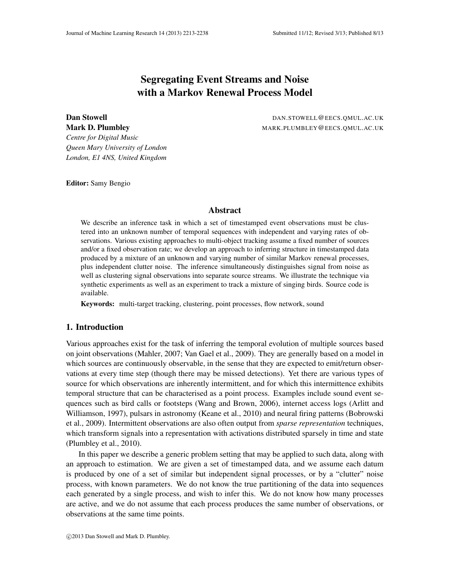# Segregating Event Streams and Noise with a Markov Renewal Process Model

**Dan Stowell Stowell DAN.STOWELL@EECS.QMUL.AC.UK** Mark D. Plumbley MARK.PLUMBLEY @EECS.QMUL.AC.UK

*Centre for Digital Music Queen Mary University of London London, E1 4NS, United Kingdom*

Editor: Samy Bengio

# Abstract

We describe an inference task in which a set of timestamped event observations must be clustered into an unknown number of temporal sequences with independent and varying rates of observations. Various existing approaches to multi-object tracking assume a fixed number of sources and/or a fixed observation rate; we develop an approach to inferring structure in timestamped data produced by a mixture of an unknown and varying number of similar Markov renewal processes, plus independent clutter noise. The inference simultaneously distinguishes signal from noise as well as clustering signal observations into separate source streams. We illustrate the technique via synthetic experiments as well as an experiment to track a mixture of singing birds. Source code is available.

Keywords: multi-target tracking, clustering, point processes, flow network, sound

# 1. Introduction

Various approaches exist for the task of inferring the temporal evolution of multiple sources based on joint observations (Mahler, 2007; Van Gael et al., 2009). They are generally based on a model in which sources are continuously observable, in the sense that they are expected to emit/return observations at every time step (though there may be missed detections). Yet there are various types of source for which observations are inherently intermittent, and for which this intermittence exhibits temporal structure that can be characterised as a point process. Examples include sound event sequences such as bird calls or footsteps (Wang and Brown, 2006), internet access logs (Arlitt and Williamson, 1997), pulsars in astronomy (Keane et al., 2010) and neural firing patterns (Bobrowski et al., 2009). Intermittent observations are also often output from *sparse representation* techniques, which transform signals into a representation with activations distributed sparsely in time and state (Plumbley et al., 2010).

In this paper we describe a generic problem setting that may be applied to such data, along with an approach to estimation. We are given a set of timestamped data, and we assume each datum is produced by one of a set of similar but independent signal processes, or by a "clutter" noise process, with known parameters. We do not know the true partitioning of the data into sequences each generated by a single process, and wish to infer this. We do not know how many processes are active, and we do not assume that each process produces the same number of observations, or observations at the same time points.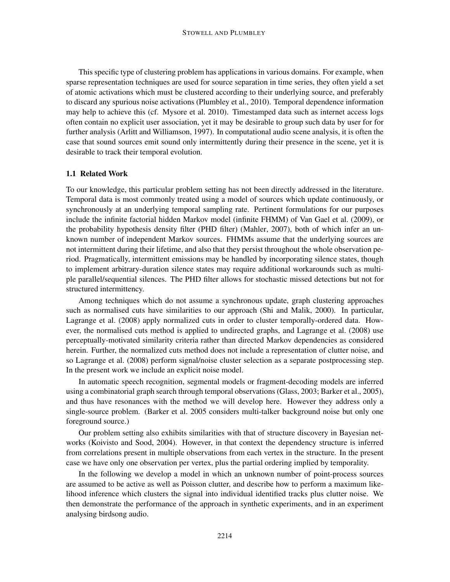This specific type of clustering problem has applications in various domains. For example, when sparse representation techniques are used for source separation in time series, they often yield a set of atomic activations which must be clustered according to their underlying source, and preferably to discard any spurious noise activations (Plumbley et al., 2010). Temporal dependence information may help to achieve this (cf. Mysore et al. 2010). Timestamped data such as internet access logs often contain no explicit user association, yet it may be desirable to group such data by user for for further analysis (Arlitt and Williamson, 1997). In computational audio scene analysis, it is often the case that sound sources emit sound only intermittently during their presence in the scene, yet it is desirable to track their temporal evolution.

## 1.1 Related Work

To our knowledge, this particular problem setting has not been directly addressed in the literature. Temporal data is most commonly treated using a model of sources which update continuously, or synchronously at an underlying temporal sampling rate. Pertinent formulations for our purposes include the infinite factorial hidden Markov model (infinite FHMM) of Van Gael et al. (2009), or the probability hypothesis density filter (PHD filter) (Mahler, 2007), both of which infer an unknown number of independent Markov sources. FHMMs assume that the underlying sources are not intermittent during their lifetime, and also that they persist throughout the whole observation period. Pragmatically, intermittent emissions may be handled by incorporating silence states, though to implement arbitrary-duration silence states may require additional workarounds such as multiple parallel/sequential silences. The PHD filter allows for stochastic missed detections but not for structured intermittency.

Among techniques which do not assume a synchronous update, graph clustering approaches such as normalised cuts have similarities to our approach (Shi and Malik, 2000). In particular, Lagrange et al. (2008) apply normalized cuts in order to cluster temporally-ordered data. However, the normalised cuts method is applied to undirected graphs, and Lagrange et al. (2008) use perceptually-motivated similarity criteria rather than directed Markov dependencies as considered herein. Further, the normalized cuts method does not include a representation of clutter noise, and so Lagrange et al. (2008) perform signal/noise cluster selection as a separate postprocessing step. In the present work we include an explicit noise model.

In automatic speech recognition, segmental models or fragment-decoding models are inferred using a combinatorial graph search through temporal observations (Glass, 2003; Barker et al., 2005), and thus have resonances with the method we will develop here. However they address only a single-source problem. (Barker et al. 2005 considers multi-talker background noise but only one foreground source.)

Our problem setting also exhibits similarities with that of structure discovery in Bayesian networks (Koivisto and Sood, 2004). However, in that context the dependency structure is inferred from correlations present in multiple observations from each vertex in the structure. In the present case we have only one observation per vertex, plus the partial ordering implied by temporality.

In the following we develop a model in which an unknown number of point-process sources are assumed to be active as well as Poisson clutter, and describe how to perform a maximum likelihood inference which clusters the signal into individual identified tracks plus clutter noise. We then demonstrate the performance of the approach in synthetic experiments, and in an experiment analysing birdsong audio.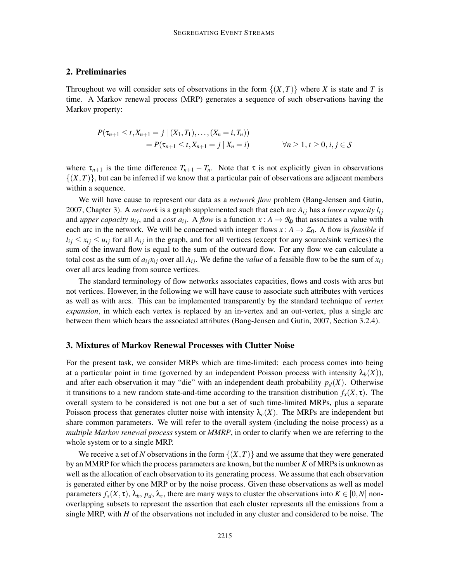# 2. Preliminaries

Throughout we will consider sets of observations in the form  $\{(X,T)\}\$  where *X* is state and *T* is time. A Markov renewal process (MRP) generates a sequence of such observations having the Markov property:

$$
P(\tau_{n+1} \le t, X_{n+1} = j | (X_1, T_1), \dots, (X_n = i, T_n))
$$
  
=  $P(\tau_{n+1} \le t, X_{n+1} = j | X_n = i)$   $\forall n \ge 1, t \ge 0, i, j \in S$ 

where  $\tau_{n+1}$  is the time difference  $T_{n+1} - T_n$ . Note that  $\tau$  is not explicitly given in observations  $\{(X,T)\}\$ , but can be inferred if we know that a particular pair of observations are adjacent members within a sequence.

We will have cause to represent our data as a *network flow* problem (Bang-Jensen and Gutin, 2007, Chapter 3). A *network* is a graph supplemented such that each arc  $A_{ij}$  has a *lower capacity*  $l_{ij}$ and *upper capacity*  $u_{ij}$ , and a *cost*  $a_{ij}$ . A *flow* is a function  $x : A \to \mathcal{R}_0$  that associates a value with each arc in the network. We will be concerned with integer flows  $x : A \rightarrow Z_0$ . A flow is *feasible* if  $l_{ij} \le x_{ij} \le u_{ij}$  for all  $A_{ij}$  in the graph, and for all vertices (except for any source/sink vertices) the sum of the inward flow is equal to the sum of the outward flow. For any flow we can calculate a total cost as the sum of  $a_i x_i$  over all  $A_i$ . We define the *value* of a feasible flow to be the sum of  $x_i$ over all arcs leading from source vertices.

The standard terminology of flow networks associates capacities, flows and costs with arcs but not vertices. However, in the following we will have cause to associate such attributes with vertices as well as with arcs. This can be implemented transparently by the standard technique of *vertex expansion*, in which each vertex is replaced by an in-vertex and an out-vertex, plus a single arc between them which bears the associated attributes (Bang-Jensen and Gutin, 2007, Section 3.2.4).

## 3. Mixtures of Markov Renewal Processes with Clutter Noise

For the present task, we consider MRPs which are time-limited: each process comes into being at a particular point in time (governed by an independent Poisson process with intensity  $\lambda_b(X)$ ), and after each observation it may "die" with an independent death probability  $p_d(X)$ . Otherwise it transitions to a new random state-and-time according to the transition distribution  $f_x(X, \tau)$ . The overall system to be considered is not one but a set of such time-limited MRPs, plus a separate Poisson process that generates clutter noise with intensity  $\lambda_c(X)$ . The MRPs are independent but share common parameters. We will refer to the overall system (including the noise process) as a *multiple Markov renewal process* system or *MMRP*, in order to clarify when we are referring to the whole system or to a single MRP.

We receive a set of N observations in the form  $\{(X,T)\}\$  and we assume that they were generated by an MMRP for which the process parameters are known, but the number *K* of MRPs is unknown as well as the allocation of each observation to its generating process. We assume that each observation is generated either by one MRP or by the noise process. Given these observations as well as model parameters  $f_x(X, \tau)$ ,  $\lambda_b$ ,  $p_d$ ,  $\lambda_c$ , there are many ways to cluster the observations into  $K \in [0, N]$  nonoverlapping subsets to represent the assertion that each cluster represents all the emissions from a single MRP, with *H* of the observations not included in any cluster and considered to be noise. The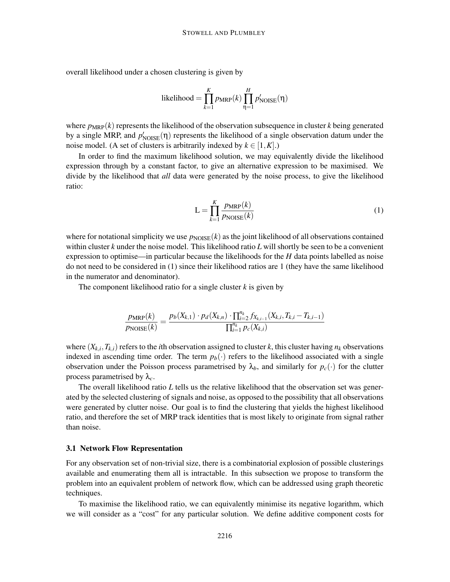overall likelihood under a chosen clustering is given by

$$
\text{likelihood} = \prod_{k=1}^{K} p_{\text{MRP}}(k) \prod_{\eta=1}^{H} p'_{\text{NOISE}}(\eta)
$$

where  $p_{MRP}(k)$  represents the likelihood of the observation subsequence in cluster  $k$  being generated by a single MRP, and  $p'_{\text{NOISE}}(\eta)$  represents the likelihood of a single observation datum under the noise model. (A set of clusters is arbitrarily indexed by  $k \in [1, K]$ .)

In order to find the maximum likelihood solution, we may equivalently divide the likelihood expression through by a constant factor, to give an alternative expression to be maximised. We divide by the likelihood that *all* data were generated by the noise process, to give the likelihood ratio:

$$
L = \prod_{k=1}^{K} \frac{p_{MRP}(k)}{p_{NOISE}(k)}
$$
(1)

where for notational simplicity we use  $p_{\text{NOISE}}(k)$  as the joint likelihood of all observations contained within cluster *k* under the noise model. This likelihood ratio *L* will shortly be seen to be a convenient expression to optimise—in particular because the likelihoods for the *H* data points labelled as noise do not need to be considered in (1) since their likelihood ratios are 1 (they have the same likelihood in the numerator and denominator).

The component likelihood ratio for a single cluster *k* is given by

$$
\frac{p_{\text{MRP}}(k)}{p_{\text{NOISE}}(k)} = \frac{p_b(X_{k,1}) \cdot p_d(X_{k,n}) \cdot \prod_{i=2}^{n_k} f_{X_{k,i-1}}(X_{k,i}, T_{k,i} - T_{k,i-1})}{\prod_{i=1}^{n_k} p_c(X_{k,i})}
$$

where  $(X_{k,i}, T_{k,i})$  refers to the *i*th observation assigned to cluster *k*, this cluster having  $n_k$  observations indexed in ascending time order. The term  $p_b(\cdot)$  refers to the likelihood associated with a single observation under the Poisson process parametrised by  $\lambda_b$ , and similarly for  $p_c(\cdot)$  for the clutter process parametrised by  $\lambda_c$ .

The overall likelihood ratio *L* tells us the relative likelihood that the observation set was generated by the selected clustering of signals and noise, as opposed to the possibility that all observations were generated by clutter noise. Our goal is to find the clustering that yields the highest likelihood ratio, and therefore the set of MRP track identities that is most likely to originate from signal rather than noise.

#### 3.1 Network Flow Representation

For any observation set of non-trivial size, there is a combinatorial explosion of possible clusterings available and enumerating them all is intractable. In this subsection we propose to transform the problem into an equivalent problem of network flow, which can be addressed using graph theoretic techniques.

To maximise the likelihood ratio, we can equivalently minimise its negative logarithm, which we will consider as a "cost" for any particular solution. We define additive component costs for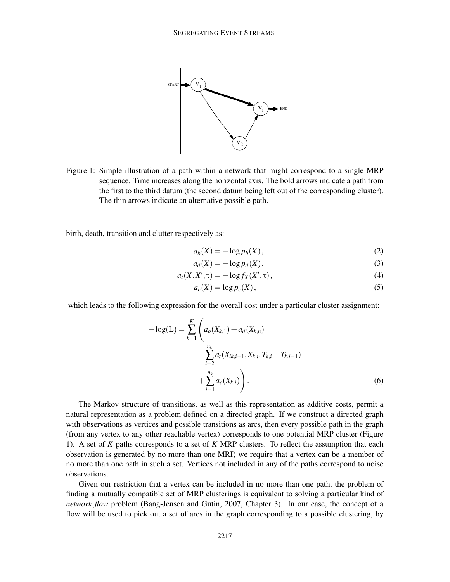

Figure 1: Simple illustration of a path within a network that might correspond to a single MRP sequence. Time increases along the horizontal axis. The bold arrows indicate a path from the first to the third datum (the second datum being left out of the corresponding cluster). The thin arrows indicate an alternative possible path.

birth, death, transition and clutter respectively as:

$$
a_b(X) = -\log p_b(X),\tag{2}
$$

$$
a_d(X) = -\log p_d(X),\tag{3}
$$

$$
a_t(X, X', \tau) = -\log f_X(X', \tau), \qquad (4)
$$

$$
a_c(X) = \log p_c(X),\tag{5}
$$

which leads to the following expression for the overall cost under a particular cluster assignment:

$$
-\log(L) = \sum_{k=1}^{K} \left( a_b(X_{k,1}) + a_d(X_{k,n}) + \sum_{i=2}^{n_k} a_t(X_{ik,i-1}, X_{k,i}, T_{k,i} - T_{k,i-1}) + \sum_{i=1}^{n_k} a_c(X_{k,i}) \right).
$$
\n(6)

The Markov structure of transitions, as well as this representation as additive costs, permit a natural representation as a problem defined on a directed graph. If we construct a directed graph with observations as vertices and possible transitions as arcs, then every possible path in the graph (from any vertex to any other reachable vertex) corresponds to one potential MRP cluster (Figure 1). A set of *K* paths corresponds to a set of *K* MRP clusters. To reflect the assumption that each observation is generated by no more than one MRP, we require that a vertex can be a member of no more than one path in such a set. Vertices not included in any of the paths correspond to noise observations.

Given our restriction that a vertex can be included in no more than one path, the problem of finding a mutually compatible set of MRP clusterings is equivalent to solving a particular kind of *network flow* problem (Bang-Jensen and Gutin, 2007, Chapter 3). In our case, the concept of a flow will be used to pick out a set of arcs in the graph corresponding to a possible clustering, by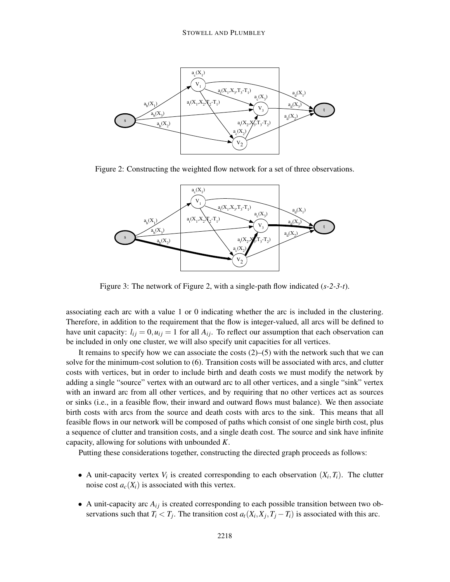

Figure 2: Constructing the weighted flow network for a set of three observations.



Figure 3: The network of Figure 2, with a single-path flow indicated (*s-2-3-t*).

associating each arc with a value 1 or 0 indicating whether the arc is included in the clustering. Therefore, in addition to the requirement that the flow is integer-valued, all arcs will be defined to have unit capacity:  $l_{ij} = 0, u_{ij} = 1$  for all  $A_{ij}$ . To reflect our assumption that each observation can be included in only one cluster, we will also specify unit capacities for all vertices.

It remains to specify how we can associate the costs  $(2)$ – $(5)$  with the network such that we can solve for the minimum-cost solution to (6). Transition costs will be associated with arcs, and clutter costs with vertices, but in order to include birth and death costs we must modify the network by adding a single "source" vertex with an outward arc to all other vertices, and a single "sink" vertex with an inward arc from all other vertices, and by requiring that no other vertices act as sources or sinks (i.e., in a feasible flow, their inward and outward flows must balance). We then associate birth costs with arcs from the source and death costs with arcs to the sink. This means that all feasible flows in our network will be composed of paths which consist of one single birth cost, plus a sequence of clutter and transition costs, and a single death cost. The source and sink have infinite capacity, allowing for solutions with unbounded *K*.

Putting these considerations together, constructing the directed graph proceeds as follows:

- A unit-capacity vertex  $V_i$  is created corresponding to each observation  $(X_i, T_i)$ . The clutter noise cost  $a_c(X_i)$  is associated with this vertex.
- A unit-capacity arc  $A_{ij}$  is created corresponding to each possible transition between two observations such that  $T_i < T_j$ . The transition cost  $a_t(X_i, X_j, T_j - T_i)$  is associated with this arc.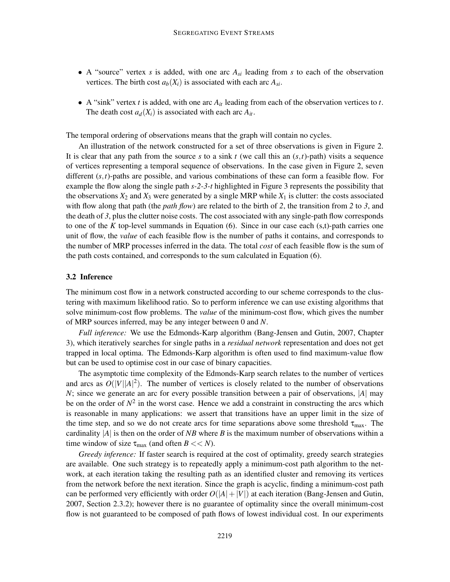- A "source" vertex *s* is added, with one arc *Asi* leading from *s* to each of the observation vertices. The birth cost  $a_b(X_i)$  is associated with each arc  $A_{si}$ .
- A "sink" vertex *t* is added, with one arc  $A_{it}$  leading from each of the observation vertices to *t*. The death cost  $a_d(X_i)$  is associated with each arc  $A_{it}$ .

The temporal ordering of observations means that the graph will contain no cycles.

An illustration of the network constructed for a set of three observations is given in Figure 2. It is clear that any path from the source  $s$  to a sink  $t$  (we call this an  $(s, t)$ -path) visits a sequence of vertices representing a temporal sequence of observations. In the case given in Figure 2, seven different (*s*,*t*)-paths are possible, and various combinations of these can form a feasible flow. For example the flow along the single path *s-2-3-t* highlighted in Figure 3 represents the possibility that the observations  $X_2$  and  $X_3$  were generated by a single MRP while  $X_1$  is clutter: the costs associated with flow along that path (the *path flow*) are related to the birth of *2*, the transition from *2* to *3*, and the death of *3*, plus the clutter noise costs. The cost associated with any single-path flow corresponds to one of the *K* top-level summands in Equation (6). Since in our case each (s,t)-path carries one unit of flow, the *value* of each feasible flow is the number of paths it contains, and corresponds to the number of MRP processes inferred in the data. The total *cost* of each feasible flow is the sum of the path costs contained, and corresponds to the sum calculated in Equation (6).

#### 3.2 Inference

The minimum cost flow in a network constructed according to our scheme corresponds to the clustering with maximum likelihood ratio. So to perform inference we can use existing algorithms that solve minimum-cost flow problems. The *value* of the minimum-cost flow, which gives the number of MRP sources inferred, may be any integer between 0 and *N*.

*Full inference:* We use the Edmonds-Karp algorithm (Bang-Jensen and Gutin, 2007, Chapter 3), which iteratively searches for single paths in a *residual network* representation and does not get trapped in local optima. The Edmonds-Karp algorithm is often used to find maximum-value flow but can be used to optimise cost in our case of binary capacities.

The asymptotic time complexity of the Edmonds-Karp search relates to the number of vertices and arcs as  $O(|V||A|^2)$ . The number of vertices is closely related to the number of observations *N*; since we generate an arc for every possible transition between a pair of observations, |*A*| may be on the order of  $N^2$  in the worst case. Hence we add a constraint in constructing the arcs which is reasonable in many applications: we assert that transitions have an upper limit in the size of the time step, and so we do not create arcs for time separations above some threshold  $\tau_{\text{max}}$ . The cardinality |*A*| is then on the order of *NB* where *B* is the maximum number of observations within a time window of size  $\tau_{\text{max}}$  (and often  $B \ll N$ ).

*Greedy inference:* If faster search is required at the cost of optimality, greedy search strategies are available. One such strategy is to repeatedly apply a minimum-cost path algorithm to the network, at each iteration taking the resulting path as an identified cluster and removing its vertices from the network before the next iteration. Since the graph is acyclic, finding a minimum-cost path can be performed very efficiently with order  $O(|A|+|V|)$  at each iteration (Bang-Jensen and Gutin, 2007, Section 2.3.2); however there is no guarantee of optimality since the overall minimum-cost flow is not guaranteed to be composed of path flows of lowest individual cost. In our experiments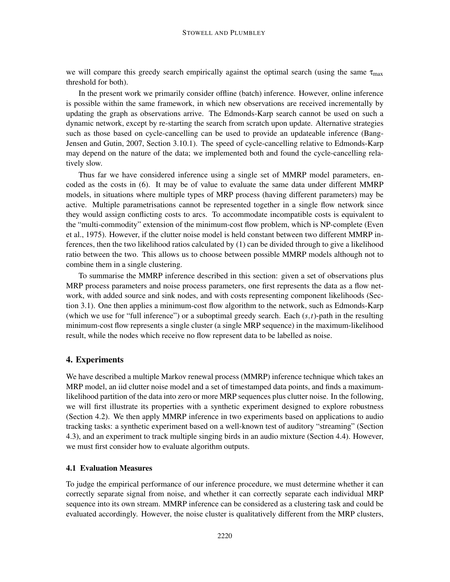we will compare this greedy search empirically against the optimal search (using the same  $\tau_{\text{max}}$ ) threshold for both).

In the present work we primarily consider offline (batch) inference. However, online inference is possible within the same framework, in which new observations are received incrementally by updating the graph as observations arrive. The Edmonds-Karp search cannot be used on such a dynamic network, except by re-starting the search from scratch upon update. Alternative strategies such as those based on cycle-cancelling can be used to provide an updateable inference (Bang-Jensen and Gutin, 2007, Section 3.10.1). The speed of cycle-cancelling relative to Edmonds-Karp may depend on the nature of the data; we implemented both and found the cycle-cancelling relatively slow.

Thus far we have considered inference using a single set of MMRP model parameters, encoded as the costs in (6). It may be of value to evaluate the same data under different MMRP models, in situations where multiple types of MRP process (having different parameters) may be active. Multiple parametrisations cannot be represented together in a single flow network since they would assign conflicting costs to arcs. To accommodate incompatible costs is equivalent to the "multi-commodity" extension of the minimum-cost flow problem, which is NP-complete (Even et al., 1975). However, if the clutter noise model is held constant between two different MMRP inferences, then the two likelihood ratios calculated by (1) can be divided through to give a likelihood ratio between the two. This allows us to choose between possible MMRP models although not to combine them in a single clustering.

To summarise the MMRP inference described in this section: given a set of observations plus MRP process parameters and noise process parameters, one first represents the data as a flow network, with added source and sink nodes, and with costs representing component likelihoods (Section 3.1). One then applies a minimum-cost flow algorithm to the network, such as Edmonds-Karp (which we use for "full inference") or a suboptimal greedy search. Each  $(s,t)$ -path in the resulting minimum-cost flow represents a single cluster (a single MRP sequence) in the maximum-likelihood result, while the nodes which receive no flow represent data to be labelled as noise.

#### 4. Experiments

We have described a multiple Markov renewal process (MMRP) inference technique which takes an MRP model, an iid clutter noise model and a set of timestamped data points, and finds a maximumlikelihood partition of the data into zero or more MRP sequences plus clutter noise. In the following, we will first illustrate its properties with a synthetic experiment designed to explore robustness (Section 4.2). We then apply MMRP inference in two experiments based on applications to audio tracking tasks: a synthetic experiment based on a well-known test of auditory "streaming" (Section 4.3), and an experiment to track multiple singing birds in an audio mixture (Section 4.4). However, we must first consider how to evaluate algorithm outputs.

## 4.1 Evaluation Measures

To judge the empirical performance of our inference procedure, we must determine whether it can correctly separate signal from noise, and whether it can correctly separate each individual MRP sequence into its own stream. MMRP inference can be considered as a clustering task and could be evaluated accordingly. However, the noise cluster is qualitatively different from the MRP clusters,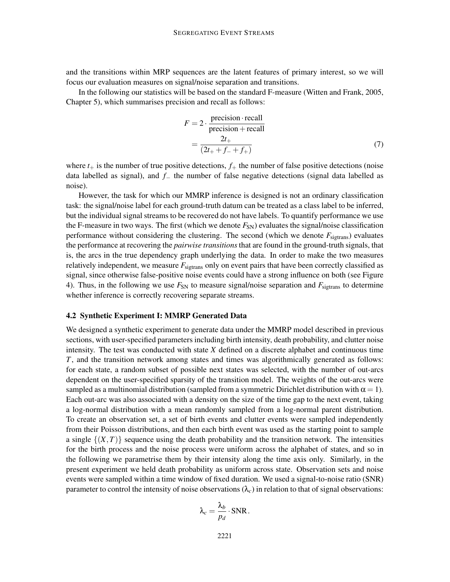and the transitions within MRP sequences are the latent features of primary interest, so we will focus our evaluation measures on signal/noise separation and transitions.

In the following our statistics will be based on the standard F-measure (Witten and Frank, 2005, Chapter 5), which summarises precision and recall as follows:

$$
F = 2 \cdot \frac{\text{precision} \cdot \text{recall}}{\text{precision} + \text{recall}}
$$

$$
= \frac{2t_+}{(2t_+ + f_- + f_+)}
$$
(7)

where  $t_{+}$  is the number of true positive detections,  $f_{+}$  the number of false positive detections (noise data labelled as signal), and *f*<sup>−</sup> the number of false negative detections (signal data labelled as noise).

However, the task for which our MMRP inference is designed is not an ordinary classification task: the signal/noise label for each ground-truth datum can be treated as a class label to be inferred, but the individual signal streams to be recovered do not have labels. To quantify performance we use the F-measure in two ways. The first (which we denote  $F_{SN}$ ) evaluates the signal/noise classification performance without considering the clustering. The second (which we denote  $F_{\text{sistrans}}$ ) evaluates the performance at recovering the *pairwise transitions* that are found in the ground-truth signals, that is, the arcs in the true dependency graph underlying the data. In order to make the two measures relatively independent, we measure  $F_{\text{sigtrans}}$  only on event pairs that have been correctly classified as signal, since otherwise false-positive noise events could have a strong influence on both (see Figure 4). Thus, in the following we use  $F_{SN}$  to measure signal/noise separation and  $F_{\text{sistrans}}$  to determine whether inference is correctly recovering separate streams.

#### 4.2 Synthetic Experiment I: MMRP Generated Data

We designed a synthetic experiment to generate data under the MMRP model described in previous sections, with user-specified parameters including birth intensity, death probability, and clutter noise intensity. The test was conducted with state *X* defined on a discrete alphabet and continuous time *T*, and the transition network among states and times was algorithmically generated as follows: for each state, a random subset of possible next states was selected, with the number of out-arcs dependent on the user-specified sparsity of the transition model. The weights of the out-arcs were sampled as a multinomial distribution (sampled from a symmetric Dirichlet distribution with  $\alpha = 1$ ). Each out-arc was also associated with a density on the size of the time gap to the next event, taking a log-normal distribution with a mean randomly sampled from a log-normal parent distribution. To create an observation set, a set of birth events and clutter events were sampled independently from their Poisson distributions, and then each birth event was used as the starting point to sample a single  $\{(X,T)\}\$  sequence using the death probability and the transition network. The intensities for the birth process and the noise process were uniform across the alphabet of states, and so in the following we parametrise them by their intensity along the time axis only. Similarly, in the present experiment we held death probability as uniform across state. Observation sets and noise events were sampled within a time window of fixed duration. We used a signal-to-noise ratio (SNR) parameter to control the intensity of noise observations  $(\lambda_c)$  in relation to that of signal observations:

$$
\lambda_c = \frac{\lambda_b}{p_d} \cdot \text{SNR}.
$$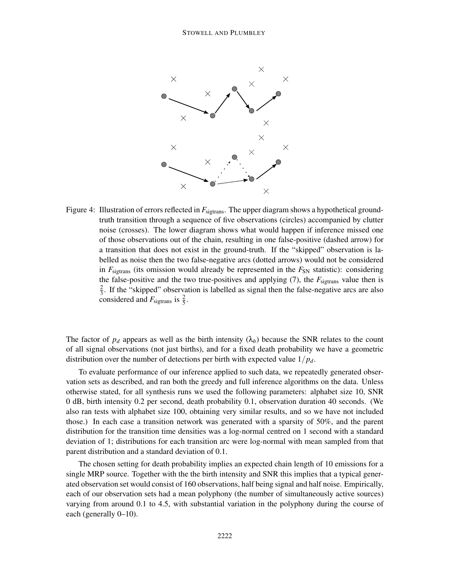

Figure 4: Illustration of errors reflected in  $F_{\text{sietrans}}$ . The upper diagram shows a hypothetical groundtruth transition through a sequence of five observations (circles) accompanied by clutter noise (crosses). The lower diagram shows what would happen if inference missed one of those observations out of the chain, resulting in one false-positive (dashed arrow) for a transition that does not exist in the ground-truth. If the "skipped" observation is labelled as noise then the two false-negative arcs (dotted arrows) would not be considered in  $F_{\text{sigtrans}}$  (its omission would already be represented in the  $F_{\text{SN}}$  statistic): considering the false-positive and the two true-positives and applying  $(7)$ , the  $F_{\text{sigtrans}}$  value then is  $\overline{2}$  $\frac{2}{3}$ . If the "skipped" observation is labelled as signal then the false-negative arcs are also considered and  $F_{\text{sigtrans}}$  is  $\frac{2}{5}$ .

The factor of  $p_d$  appears as well as the birth intensity  $(\lambda_b)$  because the SNR relates to the count of all signal observations (not just births), and for a fixed death probability we have a geometric distribution over the number of detections per birth with expected value 1/*pd*.

To evaluate performance of our inference applied to such data, we repeatedly generated observation sets as described, and ran both the greedy and full inference algorithms on the data. Unless otherwise stated, for all synthesis runs we used the following parameters: alphabet size 10, SNR 0 dB, birth intensity 0.2 per second, death probability 0.1, observation duration 40 seconds. (We also ran tests with alphabet size 100, obtaining very similar results, and so we have not included those.) In each case a transition network was generated with a sparsity of 50%, and the parent distribution for the transition time densities was a log-normal centred on 1 second with a standard deviation of 1; distributions for each transition arc were log-normal with mean sampled from that parent distribution and a standard deviation of 0.1.

The chosen setting for death probability implies an expected chain length of 10 emissions for a single MRP source. Together with the the birth intensity and SNR this implies that a typical generated observation set would consist of 160 observations, half being signal and half noise. Empirically, each of our observation sets had a mean polyphony (the number of simultaneously active sources) varying from around 0.1 to 4.5, with substantial variation in the polyphony during the course of each (generally 0–10).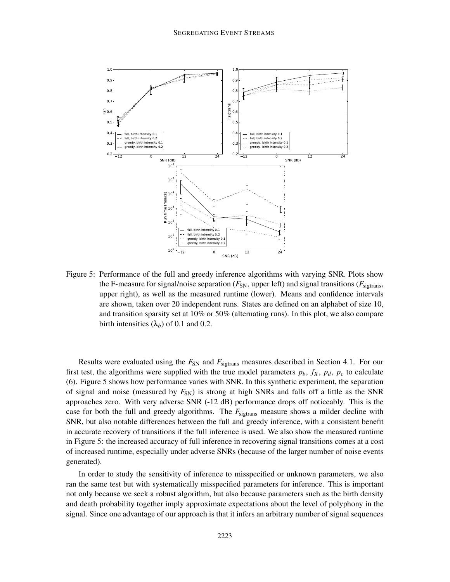

Figure 5: Performance of the full and greedy inference algorithms with varying SNR. Plots show the F-measure for signal/noise separation  $(F_{SN}$ , upper left) and signal transitions  $(F_{\text{sibrans}})$ upper right), as well as the measured runtime (lower). Means and confidence intervals are shown, taken over 20 independent runs. States are defined on an alphabet of size 10, and transition sparsity set at 10% or 50% (alternating runs). In this plot, we also compare birth intensities  $(\lambda_b)$  of 0.1 and 0.2.

Results were evaluated using the  $F_{SN}$  and  $F_{\text{sigtrans}}$  measures described in Section 4.1. For our first test, the algorithms were supplied with the true model parameters  $p_b$ ,  $f_X$ ,  $p_d$ ,  $p_c$  to calculate (6). Figure 5 shows how performance varies with SNR. In this synthetic experiment, the separation of signal and noise (measured by  $F_{SN}$ ) is strong at high SNRs and falls off a little as the SNR approaches zero. With very adverse SNR (-12 dB) performance drops off noticeably. This is the case for both the full and greedy algorithms. The  $F_{\text{sigtrans}}$  measure shows a milder decline with SNR, but also notable differences between the full and greedy inference, with a consistent benefit in accurate recovery of transitions if the full inference is used. We also show the measured runtime in Figure 5: the increased accuracy of full inference in recovering signal transitions comes at a cost of increased runtime, especially under adverse SNRs (because of the larger number of noise events generated).

In order to study the sensitivity of inference to misspecified or unknown parameters, we also ran the same test but with systematically misspecified parameters for inference. This is important not only because we seek a robust algorithm, but also because parameters such as the birth density and death probability together imply approximate expectations about the level of polyphony in the signal. Since one advantage of our approach is that it infers an arbitrary number of signal sequences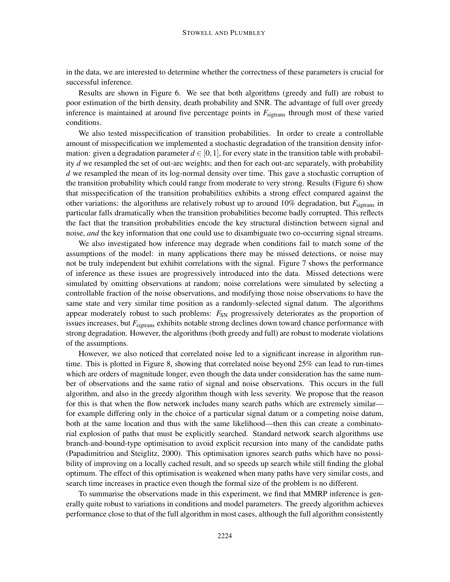in the data, we are interested to determine whether the correctness of these parameters is crucial for successful inference.

Results are shown in Figure 6. We see that both algorithms (greedy and full) are robust to poor estimation of the birth density, death probability and SNR. The advantage of full over greedy inference is maintained at around five percentage points in  $F_{\text{sigtrans}}$  through most of these varied conditions.

We also tested misspecification of transition probabilities. In order to create a controllable amount of misspecification we implemented a stochastic degradation of the transition density information: given a degradation parameter  $d \in [0,1]$ , for every state in the transition table with probability *d* we resampled the set of out-arc weights; and then for each out-arc separately, with probability *d* we resampled the mean of its log-normal density over time. This gave a stochastic corruption of the transition probability which could range from moderate to very strong. Results (Figure 6) show that misspecification of the transition probabilities exhibits a strong effect compared against the other variations: the algorithms are relatively robust up to around  $10\%$  degradation, but  $F_{\text{sidrans}}$  in particular falls dramatically when the transition probabilities become badly corrupted. This reflects the fact that the transition probabilities encode the key structural distinction between signal and noise, *and* the key information that one could use to disambiguate two co-occurring signal streams.

We also investigated how inference may degrade when conditions fail to match some of the assumptions of the model: in many applications there may be missed detections, or noise may not be truly independent but exhibit correlations with the signal. Figure 7 shows the performance of inference as these issues are progressively introduced into the data. Missed detections were simulated by omitting observations at random; noise correlations were simulated by selecting a controllable fraction of the noise observations, and modifying those noise observations to have the same state and very similar time position as a randomly-selected signal datum. The algorithms appear moderately robust to such problems:  $F_{SN}$  progressively deteriorates as the proportion of issues increases, but  $F_{\text{sigtrans}}$  exhibits notable strong declines down toward chance performance with strong degradation. However, the algorithms (both greedy and full) are robust to moderate violations of the assumptions.

However, we also noticed that correlated noise led to a significant increase in algorithm runtime. This is plotted in Figure 8, showing that correlated noise beyond 25% can lead to run-times which are orders of magnitude longer, even though the data under consideration has the same number of observations and the same ratio of signal and noise observations. This occurs in the full algorithm, and also in the greedy algorithm though with less severity. We propose that the reason for this is that when the flow network includes many search paths which are extremely similar for example differing only in the choice of a particular signal datum or a competing noise datum, both at the same location and thus with the same likelihood—then this can create a combinatorial explosion of paths that must be explicitly searched. Standard network search algorithms use branch-and-bound-type optimisation to avoid explicit recursion into many of the candidate paths (Papadimitriou and Steiglitz, 2000). This optimisation ignores search paths which have no possibility of improving on a locally cached result, and so speeds up search while still finding the global optimum. The effect of this optimisation is weakened when many paths have very similar costs, and search time increases in practice even though the formal size of the problem is no different.

To summarise the observations made in this experiment, we find that MMRP inference is generally quite robust to variations in conditions and model parameters. The greedy algorithm achieves performance close to that of the full algorithm in most cases, although the full algorithm consistently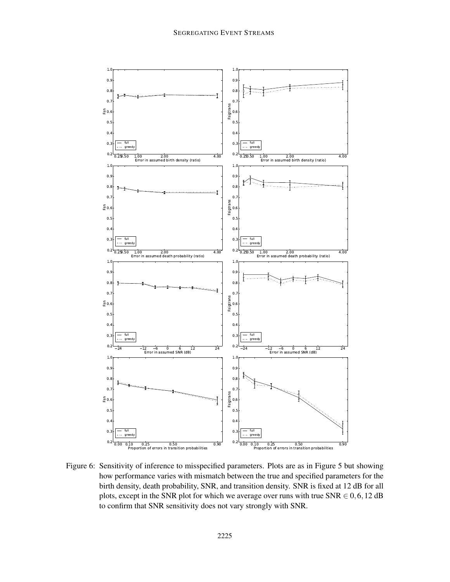

Figure 6: Sensitivity of inference to misspecified parameters. Plots are as in Figure 5 but showing how performance varies with mismatch between the true and specified parameters for the birth density, death probability, SNR, and transition density. SNR is fixed at 12 dB for all plots, except in the SNR plot for which we average over runs with true  $SNR \in 0, 6, 12$  dB to confirm that SNR sensitivity does not vary strongly with SNR.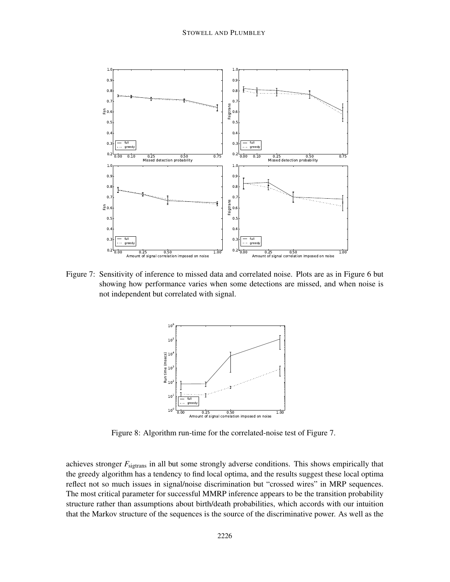

Figure 7: Sensitivity of inference to missed data and correlated noise. Plots are as in Figure 6 but showing how performance varies when some detections are missed, and when noise is not independent but correlated with signal.



Figure 8: Algorithm run-time for the correlated-noise test of Figure 7.

achieves stronger  $F_{\text{sigtrans}}$  in all but some strongly adverse conditions. This shows empirically that the greedy algorithm has a tendency to find local optima, and the results suggest these local optima reflect not so much issues in signal/noise discrimination but "crossed wires" in MRP sequences. The most critical parameter for successful MMRP inference appears to be the transition probability structure rather than assumptions about birth/death probabilities, which accords with our intuition that the Markov structure of the sequences is the source of the discriminative power. As well as the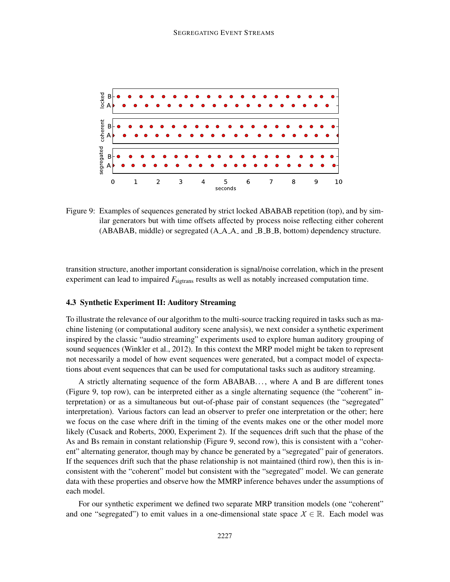

Figure 9: Examples of sequences generated by strict locked ABABAB repetition (top), and by sim-Examples of sequences generated by since focked *f* EFER in repeation (top), and by similar generators but with time offsets affected by process noise reflecting either coherent  $(ABABAB, middle)$  or segregated  $(A.A.A.$  and  $B.B.B.$ , bottom) dependency structure.

transition structure, another important consideration is signal/noise correlation, which in the present experiment can lead to impaired  $F_{\text{sigtrans}}$  results as well as notably increased computation time.

### 4.3 Synthetic Experiment II: Auditory Streaming

To illustrate the relevance of our algorithm to the multi-source tracking required in tasks such as machine listening (or computational auditory scene analysis), we next consider a synthetic experiment inspired by the classic "audio streaming" experiments used to explore human auditory grouping of sound sequences (Winkler et al., 2012). In this context the MRP model might be taken to represent not necessarily a model of how event sequences were generated, but a compact model of expectations about event sequences that can be used for computational tasks such as auditory streaming.

A strictly alternating sequence of the form ABABAB. . . , where A and B are different tones (Figure 9, top row), can be interpreted either as a single alternating sequence (the "coherent" interpretation) or as a simultaneous but out-of-phase pair of constant sequences (the "segregated" interpretation). Various factors can lead an observer to prefer one interpretation or the other; here we focus on the case where drift in the timing of the events makes one or the other model more likely (Cusack and Roberts, 2000, Experiment 2). If the sequences drift such that the phase of the As and Bs remain in constant relationship (Figure 9, second row), this is consistent with a "coherent" alternating generator, though may by chance be generated by a "segregated" pair of generators. If the sequences drift such that the phase relationship is not maintained (third row), then this is inconsistent with the "coherent" model but consistent with the "segregated" model. We can generate data with these properties and observe how the MMRP inference behaves under the assumptions of each model.

For our synthetic experiment we defined two separate MRP transition models (one "coherent" and one "segregated") to emit values in a one-dimensional state space  $X \in \mathbb{R}$ . Each model was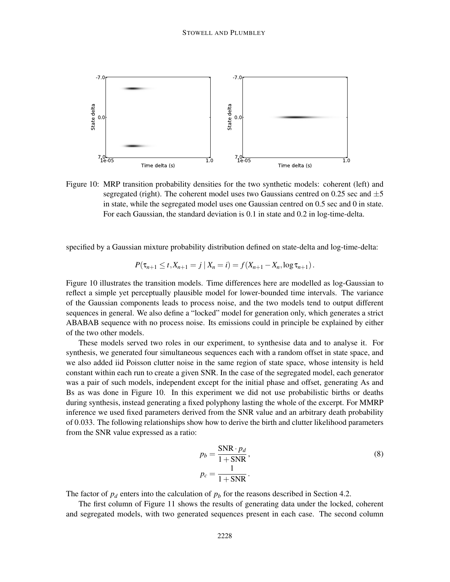

Figure 10: MRP transition probability densities for the two synthetic models: coherent (left) and segregated (right). The coherent model uses two Gaussians centred on 0.25 sec and  $\pm$ 5 in state, while the segregated model uses one Gaussian centred on 0.5 sec and 0 in state. For each Gaussian, the standard deviation is 0.1 in state and 0.2 in log-time-delta.

specified by a Gaussian mixture probability distribution defined on state-delta and log-time-delta:

$$
P(\tau_{n+1} \leq t, X_{n+1} = j \mid X_n = i) = f(X_{n+1} - X_n, \log \tau_{n+1}).
$$

Figure 10 illustrates the transition models. Time differences here are modelled as log-Gaussian to reflect a simple yet perceptually plausible model for lower-bounded time intervals. The variance of the Gaussian components leads to process noise, and the two models tend to output different sequences in general. We also define a "locked" model for generation only, which generates a strict ABABAB sequence with no process noise. Its emissions could in principle be explained by either of the two other models.

These models served two roles in our experiment, to synthesise data and to analyse it. For synthesis, we generated four simultaneous sequences each with a random offset in state space, and we also added iid Poisson clutter noise in the same region of state space, whose intensity is held constant within each run to create a given SNR. In the case of the segregated model, each generator was a pair of such models, independent except for the initial phase and offset, generating As and Bs as was done in Figure 10. In this experiment we did not use probabilistic births or deaths during synthesis, instead generating a fixed polyphony lasting the whole of the excerpt. For MMRP inference we used fixed parameters derived from the SNR value and an arbitrary death probability of 0.033. The following relationships show how to derive the birth and clutter likelihood parameters from the SNR value expressed as a ratio:

$$
p_b = \frac{\text{SNR} \cdot p_d}{1 + \text{SNR}},
$$
  
\n
$$
p_c = \frac{1}{1 + \text{SNR}}.
$$
\n(8)

The factor of  $p_d$  enters into the calculation of  $p_b$  for the reasons described in Section 4.2.

The first column of Figure 11 shows the results of generating data under the locked, coherent and segregated models, with two generated sequences present in each case. The second column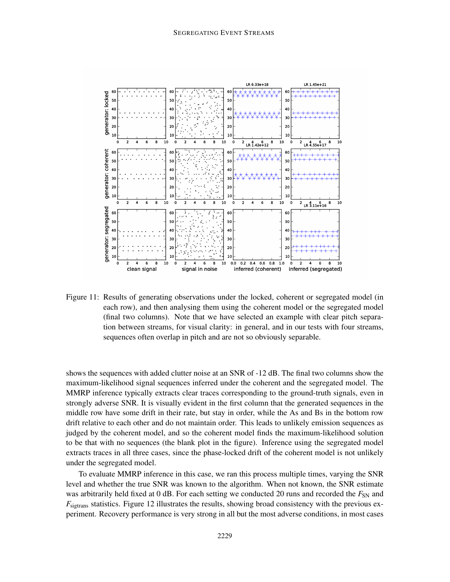

Figure 11: Results of generating observations under the locked, coherent or segregated model (in each row), and then analysing them using the coherent model or the segregated model (final two columns). Note that we have selected an example with clear pitch separation between streams, for visual clarity: in general, and in our tests with four streams, sequences often overlap in pitch and are not so obviously separable.

shows the sequences with added clutter noise at an SNR of -12 dB. The final two columns show the maximum-likelihood signal sequences inferred under the coherent and the segregated model. The MMRP inference typically extracts clear traces corresponding to the ground-truth signals, even in strongly adverse SNR. It is visually evident in the first column that the generated sequences in the middle row have some drift in their rate, but stay in order, while the As and Bs in the bottom row drift relative to each other and do not maintain order. This leads to unlikely emission sequences as judged by the coherent model, and so the coherent model finds the maximum-likelihood solution to be that with no sequences (the blank plot in the figure). Inference using the segregated model extracts traces in all three cases, since the phase-locked drift of the coherent model is not unlikely under the segregated model.

To evaluate MMRP inference in this case, we ran this process multiple times, varying the SNR level and whether the true SNR was known to the algorithm. When not known, the SNR estimate was arbitrarily held fixed at 0 dB. For each setting we conducted 20 runs and recorded the  $F_{SN}$  and  $F_{\text{sigrans}}$  statistics. Figure 12 illustrates the results, showing broad consistency with the previous experiment. Recovery performance is very strong in all but the most adverse conditions, in most cases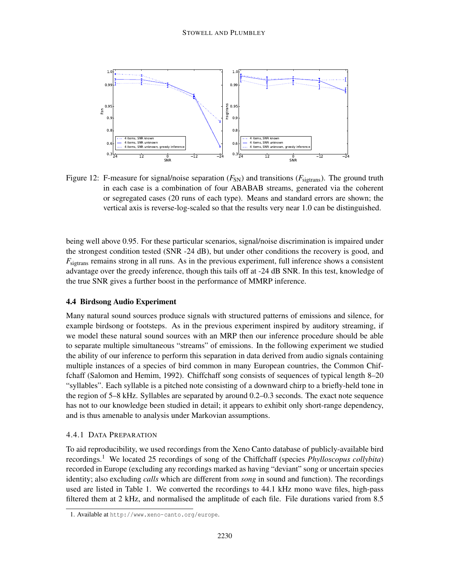

Figure 12: F-measure for signal/noise separation  $(F_{SN})$  and transitions  $(F_{\text{sigtrans}})$ . The ground truth in each case is a combination of four ABABAB streams, generated via the coherent or segregated cases (20 runs of each type). Means and standard errors are shown; the vertical axis is reverse-log-scaled so that the results very near 1.0 can be distinguished.

being well above 0.95. For these particular scenarios, signal/noise discrimination is impaired under the strongest condition tested (SNR -24 dB), but under other conditions the recovery is good, and *F*sigtrans remains strong in all runs. As in the previous experiment, full inference shows a consistent advantage over the greedy inference, though this tails off at -24 dB SNR. In this test, knowledge of the true SNR gives a further boost in the performance of MMRP inference.

## 4.4 Birdsong Audio Experiment

Many natural sound sources produce signals with structured patterns of emissions and silence, for example birdsong or footsteps. As in the previous experiment inspired by auditory streaming, if we model these natural sound sources with an MRP then our inference procedure should be able to separate multiple simultaneous "streams" of emissions. In the following experiment we studied the ability of our inference to perform this separation in data derived from audio signals containing multiple instances of a species of bird common in many European countries, the Common Chiffchaff (Salomon and Hemim, 1992). Chiffchaff song consists of sequences of typical length 8–20 "syllables". Each syllable is a pitched note consisting of a downward chirp to a briefly-held tone in the region of 5–8 kHz. Syllables are separated by around 0.2–0.3 seconds. The exact note sequence has not to our knowledge been studied in detail; it appears to exhibit only short-range dependency, and is thus amenable to analysis under Markovian assumptions.

#### 4.4.1 DATA PREPARATION

To aid reproducibility, we used recordings from the Xeno Canto database of publicly-available bird recordings.<sup>1</sup> We located 25 recordings of song of the Chiffchaff (species *Phylloscopus collybita*) recorded in Europe (excluding any recordings marked as having "deviant" song or uncertain species identity; also excluding *calls* which are different from *song* in sound and function). The recordings used are listed in Table 1. We converted the recordings to 44.1 kHz mono wave files, high-pass filtered them at 2 kHz, and normalised the amplitude of each file. File durations varied from 8.5

<sup>1.</sup> Available at http://www.xeno-canto.org/europe.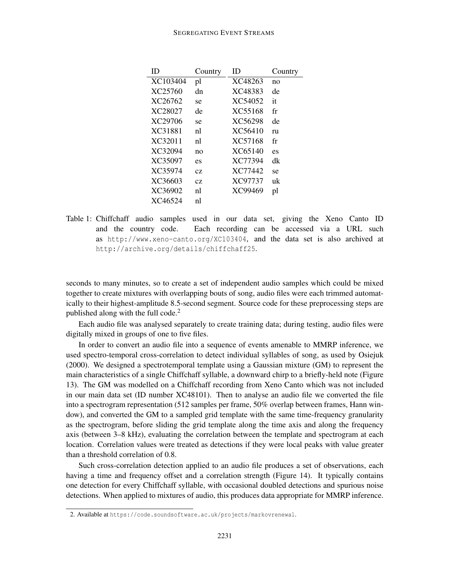| ID       | Country | ID      | Country |
|----------|---------|---------|---------|
| XC103404 | pl      | XC48263 | no      |
| XC25760  | dn      | XC48383 | de      |
| XC26762  | se      | XC54052 | it      |
| XC28027  | de      | XC55168 | fr      |
| XC29706  | se      | XC56298 | de      |
| XC31881  | nl      | XC56410 | ru      |
| XC32011  | nl      | XC57168 | fr      |
| XC32094  | no      | XC65140 | es      |
| XC35097  | es      | XC77394 | dk      |
| XC35974  | CZ.     | XC77442 | se      |
| XC36603  | CZ.     | XC97737 | иk      |
| XC36902  | nl      | XC99469 | pl      |
| XC46524  | nl      |         |         |

Table 1: Chiffchaff audio samples used in our data set, giving the Xeno Canto ID and the country code. Each recording can be accessed via a URL such as http://www.xeno-canto.org/XC103404, and the data set is also archived at http://archive.org/details/chiffchaff25.

seconds to many minutes, so to create a set of independent audio samples which could be mixed together to create mixtures with overlapping bouts of song, audio files were each trimmed automatically to their highest-amplitude 8.5-second segment. Source code for these preprocessing steps are published along with the full code.<sup>2</sup>

Each audio file was analysed separately to create training data; during testing, audio files were digitally mixed in groups of one to five files.

In order to convert an audio file into a sequence of events amenable to MMRP inference, we used spectro-temporal cross-correlation to detect individual syllables of song, as used by Osiejuk (2000). We designed a spectrotemporal template using a Gaussian mixture (GM) to represent the main characteristics of a single Chiffchaff syllable, a downward chirp to a briefly-held note (Figure 13). The GM was modelled on a Chiffchaff recording from Xeno Canto which was not included in our main data set (ID number XC48101). Then to analyse an audio file we converted the file into a spectrogram representation (512 samples per frame, 50% overlap between frames, Hann window), and converted the GM to a sampled grid template with the same time-frequency granularity as the spectrogram, before sliding the grid template along the time axis and along the frequency axis (between 3–8 kHz), evaluating the correlation between the template and spectrogram at each location. Correlation values were treated as detections if they were local peaks with value greater than a threshold correlation of 0.8.

Such cross-correlation detection applied to an audio file produces a set of observations, each having a time and frequency offset and a correlation strength (Figure 14). It typically contains one detection for every Chiffchaff syllable, with occasional doubled detections and spurious noise detections. When applied to mixtures of audio, this produces data appropriate for MMRP inference.

<sup>2.</sup> Available at https://code.soundsoftware.ac.uk/projects/markovrenewal.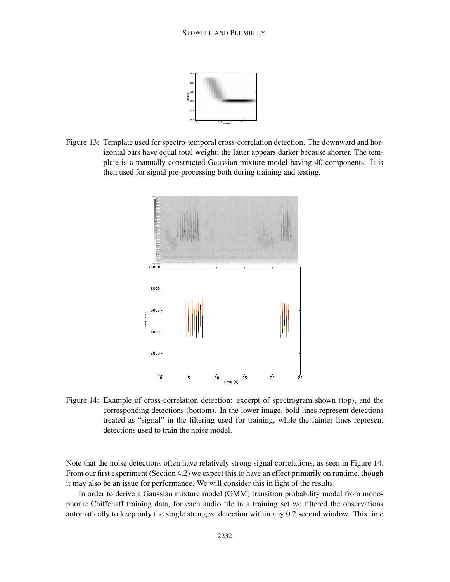

Figure 13: Template used for spectro-temporal cross-correlation detection. The downward and horizontal bars have equal total weight; the latter appears darker because shorter. The template is a manually-constructed Gaussian mixture model having 40 components. It is then used for signal pre-processing both during training and testing.



Figure 14: Example of cross-correlation detection: excerpt of spectrogram shown (top), and the corresponding detections (bottom). In the lower image, bold lines represent detections treated as "signal" in the filtering used for training, while the fainter lines represent detections used to train the noise model.

Note that the noise detections often have relatively strong signal correlations, as seen in Figure 14. From our first experiment (Section 4.2) we expect this to have an effect primarily on runtime, though it may also be an issue for performance. We will consider this in light of the results.

In order to derive a Gaussian mixture model (GMM) transition probability model from monophonic Chiffchaff training data, for each audio file in a training set we filtered the observations automatically to keep only the single strongest detection within any 0.2 second window. This time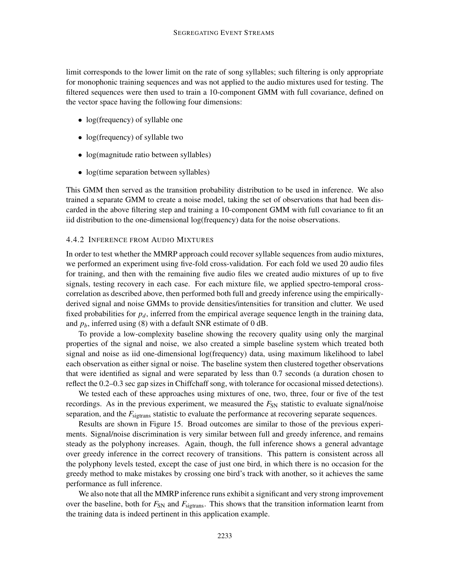limit corresponds to the lower limit on the rate of song syllables; such filtering is only appropriate for monophonic training sequences and was not applied to the audio mixtures used for testing. The filtered sequences were then used to train a 10-component GMM with full covariance, defined on the vector space having the following four dimensions:

- log(frequency) of syllable one
- log(frequency) of syllable two
- log(magnitude ratio between syllables)
- log(time separation between syllables)

This GMM then served as the transition probability distribution to be used in inference. We also trained a separate GMM to create a noise model, taking the set of observations that had been discarded in the above filtering step and training a 10-component GMM with full covariance to fit an iid distribution to the one-dimensional log(frequency) data for the noise observations.

## 4.4.2 INFERENCE FROM AUDIO MIXTURES

In order to test whether the MMRP approach could recover syllable sequences from audio mixtures, we performed an experiment using five-fold cross-validation. For each fold we used 20 audio files for training, and then with the remaining five audio files we created audio mixtures of up to five signals, testing recovery in each case. For each mixture file, we applied spectro-temporal crosscorrelation as described above, then performed both full and greedy inference using the empiricallyderived signal and noise GMMs to provide densities/intensities for transition and clutter. We used fixed probabilities for  $p_d$ , inferred from the empirical average sequence length in the training data, and  $p_b$ , inferred using (8) with a default SNR estimate of 0 dB.

To provide a low-complexity baseline showing the recovery quality using only the marginal properties of the signal and noise, we also created a simple baseline system which treated both signal and noise as iid one-dimensional log(frequency) data, using maximum likelihood to label each observation as either signal or noise. The baseline system then clustered together observations that were identified as signal and were separated by less than 0.7 seconds (a duration chosen to reflect the 0.2–0.3 sec gap sizes in Chiffchaff song, with tolerance for occasional missed detections).

We tested each of these approaches using mixtures of one, two, three, four or five of the test recordings. As in the previous experiment, we measured the  $F_{SN}$  statistic to evaluate signal/noise separation, and the  $F_{\text{sigtrans}}$  statistic to evaluate the performance at recovering separate sequences.

Results are shown in Figure 15. Broad outcomes are similar to those of the previous experiments. Signal/noise discrimination is very similar between full and greedy inference, and remains steady as the polyphony increases. Again, though, the full inference shows a general advantage over greedy inference in the correct recovery of transitions. This pattern is consistent across all the polyphony levels tested, except the case of just one bird, in which there is no occasion for the greedy method to make mistakes by crossing one bird's track with another, so it achieves the same performance as full inference.

We also note that all the MMRP inference runs exhibit a significant and very strong improvement over the baseline, both for  $F_{SN}$  and  $F_{\text{sigtrans}}$ . This shows that the transition information learnt from the training data is indeed pertinent in this application example.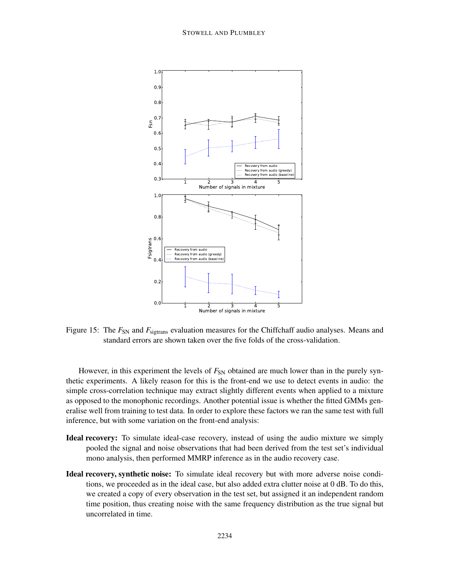

Figure 15: The  $F_{SN}$  and  $F_{\text{sigtrans}}$  evaluation measures for the Chiffchaff audio analyses. Means and standard errors are shown taken over the five folds of the cross-validation.

However, in this experiment the levels of  $F_{SN}$  obtained are much lower than in the purely synthetic experiments. A likely reason for this is the front-end we use to detect events in audio: the simple cross-correlation technique may extract slightly different events when applied to a mixture as opposed to the monophonic recordings. Another potential issue is whether the fitted GMMs generalise well from training to test data. In order to explore these factors we ran the same test with full inference, but with some variation on the front-end analysis:

- Ideal recovery: To simulate ideal-case recovery, instead of using the audio mixture we simply pooled the signal and noise observations that had been derived from the test set's individual mono analysis, then performed MMRP inference as in the audio recovery case.
- Ideal recovery, synthetic noise: To simulate ideal recovery but with more adverse noise conditions, we proceeded as in the ideal case, but also added extra clutter noise at 0 dB. To do this, we created a copy of every observation in the test set, but assigned it an independent random time position, thus creating noise with the same frequency distribution as the true signal but uncorrelated in time.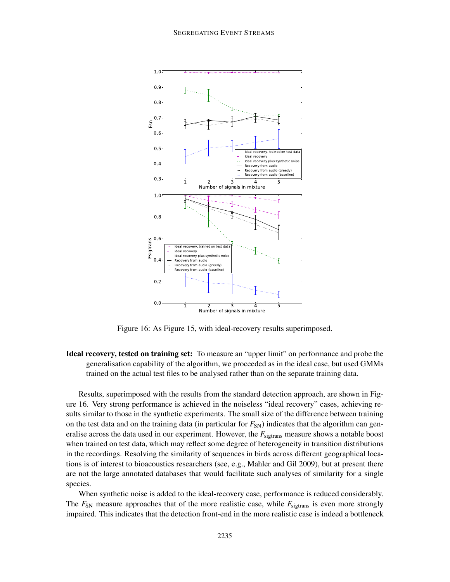

Figure 16: As Figure 15, with ideal-recovery results superimposed.

Ideal recovery, tested on training set: To measure an "upper limit" on performance and probe the generalisation capability of the algorithm, we proceeded as in the ideal case, but used GMMs trained on the actual test files to be analysed rather than on the separate training data.

Results, superimposed with the results from the standard detection approach, are shown in Figure 16. Very strong performance is achieved in the noiseless "ideal recovery" cases, achieving results similar to those in the synthetic experiments. The small size of the difference between training on the test data and on the training data (in particular for  $F_{SN}$ ) indicates that the algorithm can generalise across the data used in our experiment. However, the  $F_{\text{sigtrans}}$  measure shows a notable boost when trained on test data, which may reflect some degree of heterogeneity in transition distributions in the recordings. Resolving the similarity of sequences in birds across different geographical locations is of interest to bioacoustics researchers (see, e.g., Mahler and Gil 2009), but at present there are not the large annotated databases that would facilitate such analyses of similarity for a single species.

When synthetic noise is added to the ideal-recovery case, performance is reduced considerably. The  $F_{SN}$  measure approaches that of the more realistic case, while  $F_{sigtrans}$  is even more strongly impaired. This indicates that the detection front-end in the more realistic case is indeed a bottleneck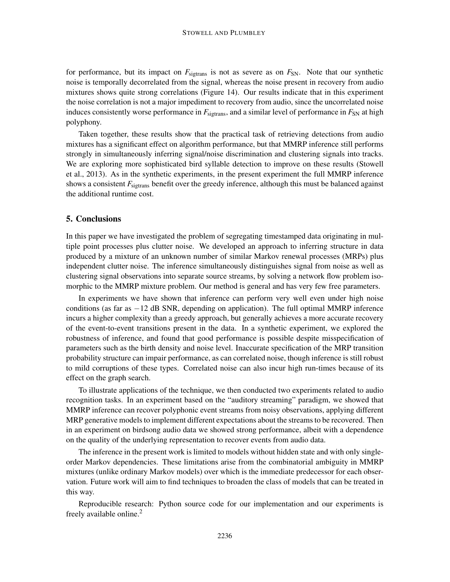for performance, but its impact on  $F_{\text{sigtrans}}$  is not as severe as on  $F_{\text{SN}}$ . Note that our synthetic noise is temporally decorrelated from the signal, whereas the noise present in recovery from audio mixtures shows quite strong correlations (Figure 14). Our results indicate that in this experiment the noise correlation is not a major impediment to recovery from audio, since the uncorrelated noise induces consistently worse performance in  $F_{\text{sigtrans}}$ , and a similar level of performance in  $F_{\text{SN}}$  at high polyphony.

Taken together, these results show that the practical task of retrieving detections from audio mixtures has a significant effect on algorithm performance, but that MMRP inference still performs strongly in simultaneously inferring signal/noise discrimination and clustering signals into tracks. We are exploring more sophisticated bird syllable detection to improve on these results (Stowell et al., 2013). As in the synthetic experiments, in the present experiment the full MMRP inference shows a consistent  $F_{\text{sigrans}}$  benefit over the greedy inference, although this must be balanced against the additional runtime cost.

# 5. Conclusions

In this paper we have investigated the problem of segregating timestamped data originating in multiple point processes plus clutter noise. We developed an approach to inferring structure in data produced by a mixture of an unknown number of similar Markov renewal processes (MRPs) plus independent clutter noise. The inference simultaneously distinguishes signal from noise as well as clustering signal observations into separate source streams, by solving a network flow problem isomorphic to the MMRP mixture problem. Our method is general and has very few free parameters.

In experiments we have shown that inference can perform very well even under high noise conditions (as far as  $-12$  dB SNR, depending on application). The full optimal MMRP inference incurs a higher complexity than a greedy approach, but generally achieves a more accurate recovery of the event-to-event transitions present in the data. In a synthetic experiment, we explored the robustness of inference, and found that good performance is possible despite misspecification of parameters such as the birth density and noise level. Inaccurate specification of the MRP transition probability structure can impair performance, as can correlated noise, though inference is still robust to mild corruptions of these types. Correlated noise can also incur high run-times because of its effect on the graph search.

To illustrate applications of the technique, we then conducted two experiments related to audio recognition tasks. In an experiment based on the "auditory streaming" paradigm, we showed that MMRP inference can recover polyphonic event streams from noisy observations, applying different MRP generative models to implement different expectations about the streamsto be recovered. Then in an experiment on birdsong audio data we showed strong performance, albeit with a dependence on the quality of the underlying representation to recover events from audio data.

The inference in the present work is limited to models without hidden state and with only singleorder Markov dependencies. These limitations arise from the combinatorial ambiguity in MMRP mixtures (unlike ordinary Markov models) over which is the immediate predecessor for each observation. Future work will aim to find techniques to broaden the class of models that can be treated in this way.

Reproducible research: Python source code for our implementation and our experiments is freely available online.<sup>2</sup>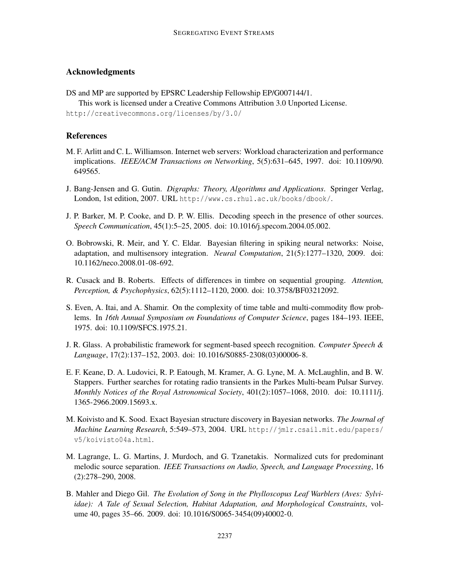# Acknowledgments

DS and MP are supported by EPSRC Leadership Fellowship EP/G007144/1.

This work is licensed under a Creative Commons Attribution 3.0 Unported License. http://creativecommons.org/licenses/by/3.0/

## **References**

- M. F. Arlitt and C. L. Williamson. Internet web servers: Workload characterization and performance implications. *IEEE/ACM Transactions on Networking*, 5(5):631–645, 1997. doi: 10.1109/90. 649565.
- J. Bang-Jensen and G. Gutin. *Digraphs: Theory, Algorithms and Applications*. Springer Verlag, London, 1st edition, 2007. URL http://www.cs.rhul.ac.uk/books/dbook/.
- J. P. Barker, M. P. Cooke, and D. P. W. Ellis. Decoding speech in the presence of other sources. *Speech Communication*, 45(1):5–25, 2005. doi: 10.1016/j.specom.2004.05.002.
- O. Bobrowski, R. Meir, and Y. C. Eldar. Bayesian filtering in spiking neural networks: Noise, adaptation, and multisensory integration. *Neural Computation*, 21(5):1277–1320, 2009. doi: 10.1162/neco.2008.01-08-692.
- R. Cusack and B. Roberts. Effects of differences in timbre on sequential grouping. *Attention, Perception, & Psychophysics*, 62(5):1112–1120, 2000. doi: 10.3758/BF03212092.
- S. Even, A. Itai, and A. Shamir. On the complexity of time table and multi-commodity flow problems. In *16th Annual Symposium on Foundations of Computer Science*, pages 184–193. IEEE, 1975. doi: 10.1109/SFCS.1975.21.
- J. R. Glass. A probabilistic framework for segment-based speech recognition. *Computer Speech & Language*, 17(2):137–152, 2003. doi: 10.1016/S0885-2308(03)00006-8.
- E. F. Keane, D. A. Ludovici, R. P. Eatough, M. Kramer, A. G. Lyne, M. A. McLaughlin, and B. W. Stappers. Further searches for rotating radio transients in the Parkes Multi-beam Pulsar Survey. *Monthly Notices of the Royal Astronomical Society*, 401(2):1057–1068, 2010. doi: 10.1111/j. 1365-2966.2009.15693.x.
- M. Koivisto and K. Sood. Exact Bayesian structure discovery in Bayesian networks. *The Journal of Machine Learning Research*, 5:549–573, 2004. URL http://jmlr.csail.mit.edu/papers/ v5/koivisto04a.html.
- M. Lagrange, L. G. Martins, J. Murdoch, and G. Tzanetakis. Normalized cuts for predominant melodic source separation. *IEEE Transactions on Audio, Speech, and Language Processing*, 16 (2):278–290, 2008.
- B. Mahler and Diego Gil. *The Evolution of Song in the Phylloscopus Leaf Warblers (Aves: Sylviidae): A Tale of Sexual Selection, Habitat Adaptation, and Morphological Constraints*, volume 40, pages 35–66. 2009. doi: 10.1016/S0065-3454(09)40002-0.